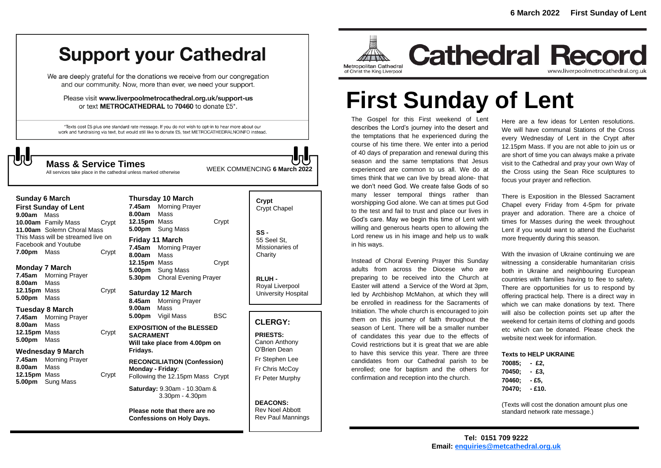## **Support your Cathedral**

We are deeply grateful for the donations we receive from our congregation and our community. Now, more than ever, we need your support.

Please visit www.liverpoolmetrocathedral.org.uk/support-us or text METROCATHEDRAL to 70460 to donate £5\*.

\*Texts cost £5 plus one standard rate message. If you do not wish to opt-in to hear more about our work and fundraising via text, but would still like to donate £5, text METROCATHEDRALNOINFO instead.

WEEK COMMENCING **6 March <sup>2022</sup> Mass & Service Times** All services take place in the cathedral unless marked otherwise

#### **Sunday 6 March**

**First Sunday of Lent 9.00am** Mass **10.00am** Family Mass Crypt **11.00am** Solemn Choral Mass This Mass will be streamed live on Facebook and Youtube **7.00pm** Mass **Crypt** 

#### **Monday 7 March**

**7.45am** Morning Prayer **8.00am** Mass **12.15pm** Mass Crypt **5.00pm** Mass

#### **Tuesday 8 March**

**7.45am** Morning Prayer **8.00am** Mass **12.15pm** Mass Crypt **5.00pm** Mass

#### **Wednesday 9 March**

**7.45am** Morning Prayer **8.00am** Mass **12.15pm** Mass Crypt **5.00pm** Sung Mass

#### **Thursday 10 March 7.45am** Morning Prayer **8.00am** Mass **12.15pm** Mass Crypt **5.00pm** Sung Mass **Friday 11 March 7.45am** Morning Prayer **8.00am** Mass **12.15pm** Mass Crypt **5.00pm** Sung Mass

**5.30pm** Choral Evening Prayer

#### **Saturday 12 March**

**8.45am** Morning Prayer **9.00am** Mass **5.00pm** Vigil Mass BSC

#### **EXPOSITION of the BLESSED SACRAMENT Will take place from 4.00pm on Fridays.**

**RECONCILIATION (Confession) Monday - Friday**: Following the 12.15pm Mass Crypt

**Saturday:** 9.30am - 10.30am & 3.30pm - 4.30pm

**Please note that there are no Confessions on Holy Days.**

### **Crypt**  Crypt Chapel

**SS -** 55 Seel St, Missionaries of **Charity** 

**RLUH -** Royal Liverpool University Hospital

#### **CLERGY:**

**PRIESTS:** Canon Anthony O'Brien *Dean* Fr Stephen Lee Fr Chris McCoy Fr Peter Murphy

**DEACONS:** Rev Noel Abbott Rev Paul Mannings



**Cathedral Record** www.liverpoolmetrocathedral.org.uk

# **First Sunday of Lent**

The Gospel for this First weekend of Lent describes the Lord's journey into the desert and the temptations that he experienced during the course of his time there. We enter into a period of 40 days of preparation and renewal during this season and the same temptations that Jesus experienced are common to us all. We do at times think that we can live by bread alone- that we don't need God. We create false Gods of so many lesser temporal things rather than worshipping God alone. We can at times put God to the test and fail to trust and place our lives in God's care. May we begin this time of Lent with willing and generous hearts open to allowing the Lord renew us in his image and help us to walk in his ways.

Instead of Choral Evening Prayer this Sunday adults from across the Diocese who are preparing to be received into the Church at Easter will attend a Service of the Word at 3pm, led by Archbishop McMahon, at which they will be enrolled in readiness for the Sacraments of Initiation. The whole church is encouraged to join them on this journey of faith throughout the season of Lent. There will be a smaller number of candidates this year due to the effects of Covid restrictions but it is great that we are able to have this service this year. There are three candidates from our Cathedral parish to be enrolled; one for baptism and the others for confirmation and reception into the church.

Here are a few ideas for Lenten resolutions. We will have communal Stations of the Cross every Wednesday of Lent in the Crypt after 12.15pm Mass. If you are not able to join us or are short of time you can always make a private visit to the Cathedral and pray your own Way of the Cross using the Sean Rice sculptures to focus your prayer and reflection.

There is Exposition in the Blessed Sacrament Chapel every Friday from 4-5pm for private prayer and adoration. There are a choice of times for Masses during the week throughout Lent if you would want to attend the Eucharist more frequently during this season.

With the invasion of Ukraine continuing we are witnessing a considerable humanitarian crisis both in Ukraine and neighbouring European countries with families having to flee to safety. There are opportunities for us to respond by offering practical help. There is a direct way in which we can make donations by text. There will also be collection points set up after the weekend for certain items of clothing and goods etc which can be donated. Please check the website next week for information.

#### **Texts to HELP UKRAINE**

| 70085: | - £2.  |
|--------|--------|
| 70450; | - £3.  |
| 70460; | - £5.  |
| 70470; | - £10. |

*(Texts will cost the donation amount plus one standard network rate message.)*